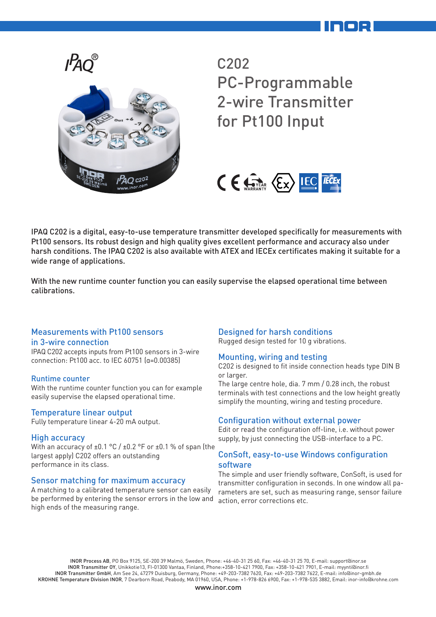



## C202 PC-Programmable 2-wire Transmitter for Pt100 Input



IPAQ C202 is a digital, easy-to-use temperature transmitter developed specifically for measurements with Pt100 sensors. Its robust design and high quality gives excellent performance and accuracy also under harsh conditions. The IPAQ C202 is also available with ATEX and IECEx certificates making it suitable for a wide range of applications.

With the new runtime counter function you can easily supervise the elapsed operational time between calibrations.

## Measurements with Pt100 sensors

#### in 3-wire connection

IPAQ C202 accepts inputs from Pt100 sensors in 3-wire connection: Pt100 acc. to IEC 60751 (α=0.00385)

## Runtime counter

With the runtime counter function you can for example easily supervise the elapsed operational time.

## Temperature linear output

Fully temperature linear 4-20 mA output.

## High accuracy

With an accuracy of ±0.1 °C / ±0.2 °F or ±0.1 % of span (the largest apply) C202 offers an outstanding performance in its class.

## Sensor matching for maximum accuracy

A matching to a calibrated temperature sensor can easily be performed by entering the sensor errors in the low and high ends of the measuring range.

## Designed for harsh conditions

Rugged design tested for 10 g vibrations.

## Mounting, wiring and testing

C202 is designed to fit inside connection heads type DIN B or larger.

The large centre hole, dia. 7 mm / 0.28 inch, the robust terminals with test connections and the low height greatly simplify the mounting, wiring and testing procedure.

## Configuration without external power

Edit or read the configuration off-line, i.e. without power supply, by just connecting the USB-interface to a PC.

## ConSoft, easy-to-use Windows configuration software

The simple and user friendly software, ConSoft, is used for transmitter configuration in seconds. In one window all parameters are set, such as measuring range, sensor failure action, error corrections etc.

INOR Process AB, PO Box 9125, SE-200 39 Malmö, Sweden, Phone: +46-40-31 25 60, Fax: +46-40-31 25 70, E-mail: support@inor.se INOR Transmitter OY, Unikkotie13, FI-01300 Vantaa, Finland, Phone:+358-10-421 7900, Fax: +358-10-421 7901, E-mail: myynti@inor.fi INOR Transmitter GmbH, Am See 24, 47279 Duisburg, Germany, Phone: +49-203-7382 7620, Fax: +49-203-7382 7622, E-mail: info@inor-gmbh.de KROHNE Temperature Division INOR, 7 Dearborn Road, Peabody, MA 01960, USA, Phone: +1-978-826 6900, Fax: +1-978-535 3882, Email: inor-info@krohne.com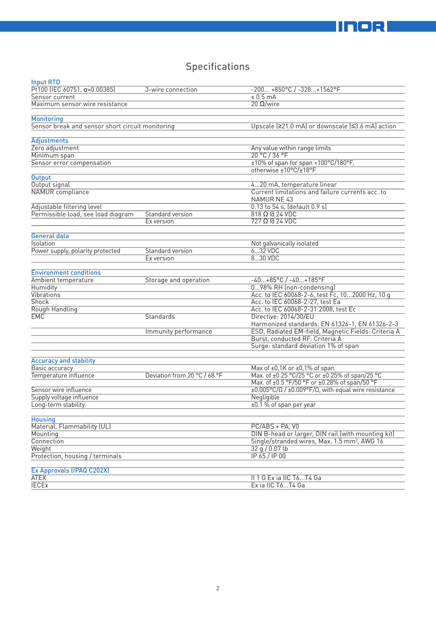## **Specifications**

| <b>Input RTD</b>                                 |                              |                                                                                                |
|--------------------------------------------------|------------------------------|------------------------------------------------------------------------------------------------|
| Pt100 (IEC 60751, $\alpha = 0.00385$ )           | 3-wire connection            | $-200+850°C / -328+1562°C$                                                                     |
| Sensor current                                   |                              | $\leq 0.5$ mA                                                                                  |
| Maximum sensor wire resistance                   |                              | $20 \Omega/wire$                                                                               |
|                                                  |                              |                                                                                                |
| <b>Monitoring</b>                                |                              |                                                                                                |
| Sensor break and sensor short circuit monitoring |                              | Upscale (≥21.0 mA) or downscale (≤3.6 mA) action                                               |
|                                                  |                              |                                                                                                |
| <b>Adjustments</b>                               |                              |                                                                                                |
| Zero adjustment                                  |                              | Any value within range limits                                                                  |
| Minimum span                                     |                              | $20^{\circ}$ C / 36 °F                                                                         |
| Sensor error compensation                        |                              | ±10% of span for span <100°C/180°F,                                                            |
| <b>Output</b>                                    |                              | otherwise ±10°C/±18°F                                                                          |
| Output signal                                    |                              |                                                                                                |
| NAMUR compliance                                 |                              | 420 mA, temperature linear<br>Current limitations and failure currents acc. to                 |
|                                                  |                              | <b>NAMUR NE 43</b>                                                                             |
| Adjustable filtering level                       |                              | 0.13 to 54 s, (default 0.9 s)                                                                  |
| Permissible load, see load diagram               | Standard version             | $818 \Omega$ @ 24 VDC                                                                          |
|                                                  | Ex version                   | $727 \Omega$ @ 24 VDC                                                                          |
|                                                  |                              |                                                                                                |
| General data                                     |                              |                                                                                                |
| Isolation                                        |                              | Not galvanically isolated                                                                      |
| Power supply, polarity protected                 | Standard version             | $632$ VDC                                                                                      |
|                                                  | Ex version                   | 830 VDC                                                                                        |
| <b>Environment conditions</b>                    |                              |                                                                                                |
| Ambient temperature                              | Storage and operation        | $-40+85°C$ / $-40+185°F$                                                                       |
| Humidity                                         |                              | 098% RH (non-condensing)                                                                       |
| Vibrations                                       |                              | Acc. to IEC 60068-2-6, test Fc, 102000 Hz, 10 q                                                |
| <b>Shock</b>                                     |                              | Acc. to IEC 60068-2-27, test Ea                                                                |
| Rough Handling                                   |                              | Acc. to IEC 60068-2-31:2008, test Ec                                                           |
| <b>EMC</b>                                       | Standards                    | Directive: 2014/30/EU                                                                          |
|                                                  |                              | Harmonized standards: EN 61326-1, EN 61326-2-3                                                 |
|                                                  | Immunity performance         | ESD, Radiated EM-field, Magnetic Fields: Criteria A                                            |
|                                                  |                              | Burst, conducted RF: Criteria A                                                                |
|                                                  |                              | Surge: standard deviation 1% of span                                                           |
|                                                  |                              |                                                                                                |
| <b>Accuracy and stability</b>                    |                              |                                                                                                |
| Basic accuracy                                   |                              | Max of ±0,1K or ±0,1% of span                                                                  |
| Temperature influence                            | Deviation from 20 °C / 68 °F | Max. of ±0.25 °C/25 °C or ±0.25% of span/25 °C                                                 |
|                                                  |                              | Max. of ±0.5 °F/50 °F or ±0.28% of span/50 °F                                                  |
| Sensor wire influence                            |                              | $\pm 0.005^{\circ}$ C/ $\Omega$ / $\pm 0.009^{\circ}$ F/ $\Omega$ , with equal wire resistance |
| Supply voltage influence                         |                              | Negligible                                                                                     |
| Long-term stability                              |                              | ±0.1 % of span per year                                                                        |
|                                                  |                              |                                                                                                |
| <b>Housing</b>                                   |                              |                                                                                                |
| Material, Flammability (UL)                      |                              | PC/ABS + PA, V0                                                                                |
| Mounting                                         |                              | DIN B-head or larger, DIN rail (with mounting kit)                                             |
| Connection                                       |                              | Single/stranded wires, Max. 1.5 mm <sup>2</sup> , AWG 16                                       |
| Weight                                           |                              | 32 g / 0.07 lb                                                                                 |
| Protection, housing / terminals                  |                              | IP 65 / IP 00                                                                                  |
|                                                  |                              |                                                                                                |
| Ex Approvals (IPAQ C202X)                        |                              |                                                                                                |
| ATEX                                             |                              | II 1 G Ex ia IIC T6T4 Ga                                                                       |
| <b>IECEX</b>                                     |                              | Ex ia IIC T6T4 Ga                                                                              |